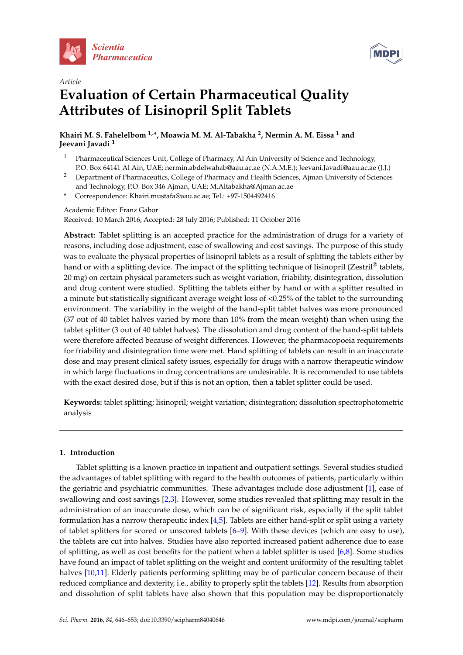



# *Article* **Evaluation of Certain Pharmaceutical Quality Attributes of Lisinopril Split Tablets**

**Khairi M. S. Fahelelbom 1,\*, Moawia M. M. Al-Tabakha <sup>2</sup> , Nermin A. M. Eissa <sup>1</sup> and Jeevani Javadi <sup>1</sup>**

- <sup>1</sup> Pharmaceutical Sciences Unit, College of Pharmacy, Al Ain University of Science and Technology, P.O. Box 64141 Al Ain, UAE; nermin.abdelwahab@aau.ac.ae (N.A.M.E.); Jeevani.Javadi@aau.ac.ae (J.J.)
- <sup>2</sup> Department of Pharmaceutics, College of Pharmacy and Health Sciences, Ajman University of Sciences and Technology, P.O. Box 346 Ajman, UAE; M.Altabakha@Ajman.ac.ae
- **\*** Correspondence: Khairi.mustafa@aau.ac.ae; Tel.: +97-1504492416

## Academic Editor: Franz Gabor

Received: 10 March 2016; Accepted: 28 July 2016; Published: 11 October 2016

**Abstract:** Tablet splitting is an accepted practice for the administration of drugs for a variety of reasons, including dose adjustment, ease of swallowing and cost savings. The purpose of this study was to evaluate the physical properties of lisinopril tablets as a result of splitting the tablets either by hand or with a splitting device. The impact of the splitting technique of lisinopril (Zestril® tablets, 20 mg) on certain physical parameters such as weight variation, friability, disintegration, dissolution and drug content were studied. Splitting the tablets either by hand or with a splitter resulted in a minute but statistically significant average weight loss of <0.25% of the tablet to the surrounding environment. The variability in the weight of the hand-split tablet halves was more pronounced (37 out of 40 tablet halves varied by more than 10% from the mean weight) than when using the tablet splitter (3 out of 40 tablet halves). The dissolution and drug content of the hand-split tablets were therefore affected because of weight differences. However, the pharmacopoeia requirements for friability and disintegration time were met. Hand splitting of tablets can result in an inaccurate dose and may present clinical safety issues, especially for drugs with a narrow therapeutic window in which large fluctuations in drug concentrations are undesirable. It is recommended to use tablets with the exact desired dose, but if this is not an option, then a tablet splitter could be used.

**Keywords:** tablet splitting; lisinopril; weight variation; disintegration; dissolution spectrophotometric analysis

## **1. Introduction**

Tablet splitting is a known practice in inpatient and outpatient settings. Several studies studied the advantages of tablet splitting with regard to the health outcomes of patients, particularly within the geriatric and psychiatric communities. These advantages include dose adjustment [1], ease of swallowing and cost savings [2,3]. However, some studies revealed that splitting may result in the administration of an inaccurate dose, which can be of significant risk, especially if the split tablet formulation has a narrow therapeutic index [4,5]. Tablets are either hand-split or split using a variety of tablet splitters for scored or unscored tablets [6–9]. With these devices (which are easy to use), the tablets are cut into halves. Studies have also reported increased patient adherence due to ease of splitting, as well as cost benefits for the patient when a tablet splitter is used  $[6,8]$ . Some studies have found an impact of tablet splitting on the weight and content uniformity of the resulting tablet halves [10,11]. Elderly patients performing splitting may be of particular concern because of their reduced compliance and dexterity, i.e., ability to properly split the tablets [12]. Results from absorption and dissolution of split tablets have also shown that this population may be disproportionately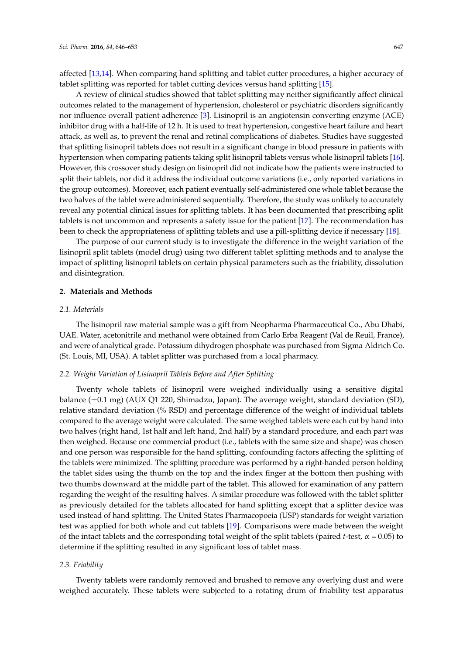affected [13,14]. When comparing hand splitting and tablet cutter procedures, a higher accuracy of tablet splitting was reported for tablet cutting devices versus hand splitting [15].

A review of clinical studies showed that tablet splitting may neither significantly affect clinical outcomes related to the management of hypertension, cholesterol or psychiatric disorders significantly nor influence overall patient adherence [3]. Lisinopril is an angiotensin converting enzyme (ACE) inhibitor drug with a half-life of 12 h. It is used to treat hypertension, congestive heart failure and heart attack, as well as, to prevent the renal and retinal complications of diabetes. Studies have suggested that splitting lisinopril tablets does not result in a significant change in blood pressure in patients with hypertension when comparing patients taking split lisinopril tablets versus whole lisinopril tablets [16]. However, this crossover study design on lisinopril did not indicate how the patients were instructed to split their tablets, nor did it address the individual outcome variations (i.e., only reported variations in the group outcomes). Moreover, each patient eventually self-administered one whole tablet because the two halves of the tablet were administered sequentially. Therefore, the study was unlikely to accurately reveal any potential clinical issues for splitting tablets. It has been documented that prescribing split tablets is not uncommon and represents a safety issue for the patient [17]. The recommendation has been to check the appropriateness of splitting tablets and use a pill-splitting device if necessary [18].

The purpose of our current study is to investigate the difference in the weight variation of the lisinopril split tablets (model drug) using two different tablet splitting methods and to analyse the impact of splitting lisinopril tablets on certain physical parameters such as the friability, dissolution and disintegration.

#### **2. Materials and Methods**

#### *2.1. Materials*

The lisinopril raw material sample was a gift from Neopharma Pharmaceutical Co., Abu Dhabi, UAE. Water, acetonitrile and methanol were obtained from Carlo Erba Reagent (Val de Reuil, France), and were of analytical grade. Potassium dihydrogen phosphate was purchased from Sigma Aldrich Co. (St. Louis, MI, USA). A tablet splitter was purchased from a local pharmacy.

#### *2.2. Weight Variation of Lisinopril Tablets Before and After Splitting*

Twenty whole tablets of lisinopril were weighed individually using a sensitive digital balance  $(\pm 0.1 \text{ mg})$  (AUX Q1 220, Shimadzu, Japan). The average weight, standard deviation (SD), relative standard deviation (% RSD) and percentage difference of the weight of individual tablets compared to the average weight were calculated. The same weighed tablets were each cut by hand into two halves (right hand, 1st half and left hand, 2nd half) by a standard procedure, and each part was then weighed. Because one commercial product (i.e., tablets with the same size and shape) was chosen and one person was responsible for the hand splitting, confounding factors affecting the splitting of the tablets were minimized. The splitting procedure was performed by a right-handed person holding the tablet sides using the thumb on the top and the index finger at the bottom then pushing with two thumbs downward at the middle part of the tablet. This allowed for examination of any pattern regarding the weight of the resulting halves. A similar procedure was followed with the tablet splitter as previously detailed for the tablets allocated for hand splitting except that a splitter device was used instead of hand splitting. The United States Pharmacopoeia (USP) standards for weight variation test was applied for both whole and cut tablets [19]. Comparisons were made between the weight of the intact tablets and the corresponding total weight of the split tablets (paired *t*-test,  $\alpha$  = 0.05) to determine if the splitting resulted in any significant loss of tablet mass.

#### *2.3. Friability*

Twenty tablets were randomly removed and brushed to remove any overlying dust and were weighed accurately. These tablets were subjected to a rotating drum of friability test apparatus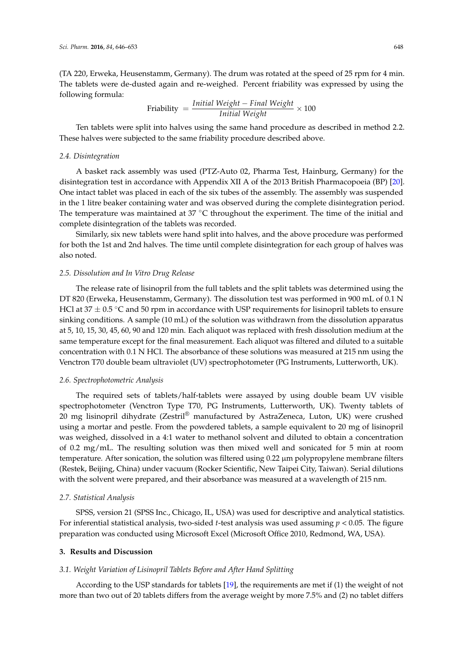(TA 220, Erweka, Heusenstamm, Germany). The drum was rotated at the speed of 25 rpm for 4 min. The tablets were de-dusted again and re-weighed. Percent friability was expressed by using the following formula:

$$
Friability = \frac{Initial Weight - Final Weight}{Initial Weight} \times 100
$$

Ten tablets were split into halves using the same hand procedure as described in method 2.2. These halves were subjected to the same friability procedure described above.

#### *2.4. Disintegration*

A basket rack assembly was used (PTZ-Auto 02, Pharma Test, Hainburg, Germany) for the disintegration test in accordance with Appendix XII A of the 2013 British Pharmacopoeia (BP) [20]. One intact tablet was placed in each of the six tubes of the assembly. The assembly was suspended in the 1 litre beaker containing water and was observed during the complete disintegration period. The temperature was maintained at 37  $°C$  throughout the experiment. The time of the initial and complete disintegration of the tablets was recorded.

Similarly, six new tablets were hand split into halves, and the above procedure was performed for both the 1st and 2nd halves. The time until complete disintegration for each group of halves was also noted.

#### *2.5. Dissolution and In Vitro Drug Release*

The release rate of lisinopril from the full tablets and the split tablets was determined using the DT 820 (Erweka, Heusenstamm, Germany). The dissolution test was performed in 900 mL of 0.1 N HCl at  $37 \pm 0.5$  °C and 50 rpm in accordance with USP requirements for lisinopril tablets to ensure sinking conditions. A sample (10 mL) of the solution was withdrawn from the dissolution apparatus at 5, 10, 15, 30, 45, 60, 90 and 120 min. Each aliquot was replaced with fresh dissolution medium at the same temperature except for the final measurement. Each aliquot was filtered and diluted to a suitable concentration with 0.1 N HCl. The absorbance of these solutions was measured at 215 nm using the Venctron T70 double beam ultraviolet (UV) spectrophotometer (PG Instruments, Lutterworth, UK).

#### *2.6. Spectrophotometric Analysis*

The required sets of tablets/half-tablets were assayed by using double beam UV visible spectrophotometer (Venctron Type T70, PG Instruments, Lutterworth, UK). Twenty tablets of 20 mg lisinopril dihydrate (Zestril® manufactured by AstraZeneca, Luton, UK) were crushed using a mortar and pestle. From the powdered tablets, a sample equivalent to 20 mg of lisinopril was weighed, dissolved in a 4:1 water to methanol solvent and diluted to obtain a concentration of 0.2 mg/mL. The resulting solution was then mixed well and sonicated for 5 min at room temperature. After sonication, the solution was filtered using 0.22 µm polypropylene membrane filters (Restek, Beijing, China) under vacuum (Rocker Scientific, New Taipei City, Taiwan). Serial dilutions with the solvent were prepared, and their absorbance was measured at a wavelength of 215 nm.

#### *2.7. Statistical Analysis*

SPSS, version 21 (SPSS Inc., Chicago, IL, USA) was used for descriptive and analytical statistics. For inferential statistical analysis, two-sided *t*-test analysis was used assuming *p* < 0.05. The figure preparation was conducted using Microsoft Excel (Microsoft Office 2010, Redmond, WA, USA).

## **3. Results and Discussion**

## *3.1. Weight Variation of Lisinopril Tablets Before and After Hand Splitting*

According to the USP standards for tablets [19], the requirements are met if (1) the weight of not more than two out of 20 tablets differs from the average weight by more 7.5% and (2) no tablet differs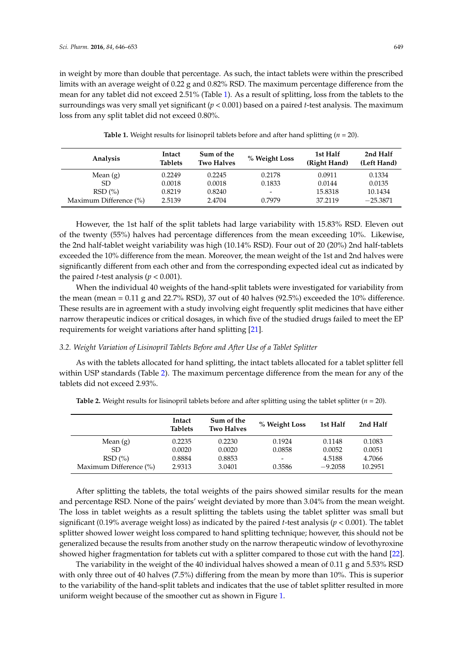in weight by more than double that percentage. As such, the intact tablets were within the prescribed limits with an average weight of 0.22 g and 0.82% RSD. The maximum percentage difference from the mean for any tablet did not exceed 2.51% (Table 1). As a result of splitting, loss from the tablets to the surroundings was very small yet significant (*p* < 0.001) based on a paired *t*-test analysis. The maximum loss from any split tablet did not exceed 0.80%.

| Analysis               | Intact<br><b>Tablets</b> | Sum of the<br><b>Two Halves</b> | % Weight Loss            | 1st Half<br>(Right Hand) | 2nd Half<br>(Left Hand) |
|------------------------|--------------------------|---------------------------------|--------------------------|--------------------------|-------------------------|
| Mean $(g)$             | 0.2249                   | 0.2245                          | 0.2178                   | 0.0911                   | 0.1334                  |
| SD.                    | 0.0018                   | 0.0018                          | 0.1833                   | 0.0144                   | 0.0135                  |
| RSD(%)                 | 0.8219                   | 0.8240                          | $\overline{\phantom{0}}$ | 15.8318                  | 10.1434                 |
| Maximum Difference (%) | 2.5139                   | 2.4704                          | 0.7979                   | 37.2119                  | $-25.3871$              |

**Table 1.** Weight results for lisinopril tablets before and after hand splitting (*n* = 20).

However, the 1st half of the split tablets had large variability with 15.83% RSD. Eleven out of the twenty (55%) halves had percentage differences from the mean exceeding 10%. Likewise, the 2nd half-tablet weight variability was high (10.14% RSD). Four out of 20 (20%) 2nd half-tablets exceeded the 10% difference from the mean. Moreover, the mean weight of the 1st and 2nd halves were significantly different from each other and from the corresponding expected ideal cut as indicated by the paired *t*-test analysis ( $p < 0.001$ ).

When the individual 40 weights of the hand-split tablets were investigated for variability from the mean (mean = 0.11 g and 22.7% RSD), 37 out of 40 halves (92.5%) exceeded the 10% difference. These results are in agreement with a study involving eight frequently split medicines that have either narrow therapeutic indices or critical dosages, in which five of the studied drugs failed to meet the EP requirements for weight variations after hand splitting [21].

#### *3.2. Weight Variation of Lisinopril Tablets Before and After Use of a Tablet Splitter*

As with the tablets allocated for hand splitting, the intact tablets allocated for a tablet splitter fell within USP standards (Table 2). The maximum percentage difference from the mean for any of the tablets did not exceed 2.93%.

|                        | Intact<br><b>Tablets</b> | Sum of the<br><b>Two Halves</b> | % Weight Loss | 1st Half  | 2nd Half |
|------------------------|--------------------------|---------------------------------|---------------|-----------|----------|
| Mean $(g)$             | 0.2235                   | 0.2230                          | 0.1924        | 0.1148    | 0.1083   |
| SD.                    | 0.0020                   | 0.0020                          | 0.0858        | 0.0052    | 0.0051   |
| RSD(%)                 | 0.8884                   | 0.8853                          | -             | 4.5188    | 4.7066   |
| Maximum Difference (%) | 2.9313                   | 3.0401                          | 0.3586        | $-9.2058$ | 10.2951  |

**Table 2.** Weight results for lisinopril tablets before and after splitting using the tablet splitter  $(n = 20)$ .

After splitting the tablets, the total weights of the pairs showed similar results for the mean and percentage RSD. None of the pairs' weight deviated by more than 3.04% from the mean weight. The loss in tablet weights as a result splitting the tablets using the tablet splitter was small but significant (0.19% average weight loss) as indicated by the paired *t*-test analysis (*p* < 0.001). The tablet splitter showed lower weight loss compared to hand splitting technique; however, this should not be generalized because the results from another study on the narrow therapeutic window of levothyroxine showed higher fragmentation for tablets cut with a splitter compared to those cut with the hand [22].

The variability in the weight of the 40 individual halves showed a mean of 0.11 g and 5.53% RSD with only three out of 40 halves (7.5%) differing from the mean by more than 10%. This is superior to the variability of the hand-split tablets and indicates that the use of tablet splitter resulted in more uniform weight because of the smoother cut as shown in Figure 1.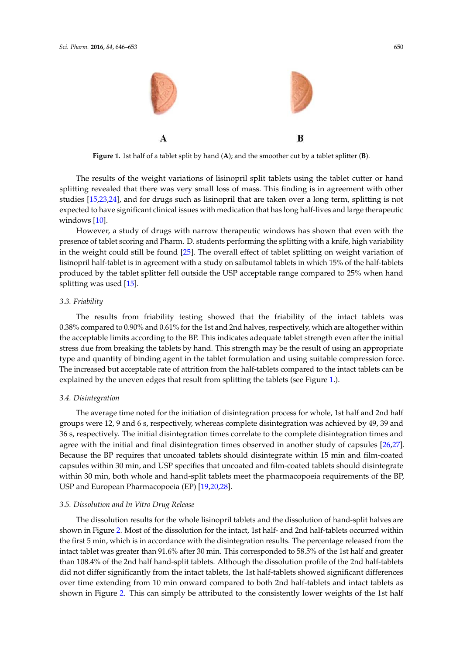

**Figure 1.** 1st half of a tablet split by hand (**A**); and the smoother cut by a tablet splitter (**B**).

The results of the weight variations of lisinopril split tablets using the tablet cutter or hand splitting revealed that there was very small loss of mass. This finding is in agreement with other studies [15,23,24], and for drugs such as lisinopril that are taken over a long term, splitting is not expected to have significant clinical issues with medication that has long half-lives and large therapeutic windows [10].

However, a study of drugs with narrow therapeutic windows has shown that even with the presence of tablet scoring and Pharm. D. students performing the splitting with a knife, high variability in the weight could still be found [25]. The overall effect of tablet splitting on weight variation of lisinopril half-tablet is in agreement with a study on salbutamol tablets in which 15% of the half-tablets produced by the tablet splitter fell outside the USP acceptable range compared to 25% when hand splitting was used [15].

#### *3.3. Friability*

The results from friability testing showed that the friability of the intact tablets was 0.38% compared to 0.90% and 0.61% for the 1st and 2nd halves, respectively, which are altogether within the acceptable limits according to the BP. This indicates adequate tablet strength even after the initial stress due from breaking the tablets by hand. This strength may be the result of using an appropriate type and quantity of binding agent in the tablet formulation and using suitable compression force. The increased but acceptable rate of attrition from the half-tablets compared to the intact tablets can be explained by the uneven edges that result from splitting the tablets (see Figure 1.).

#### *3.4. Disintegration*

The average time noted for the initiation of disintegration process for whole, 1st half and 2nd half groups were 12, 9 and 6 s, respectively, whereas complete disintegration was achieved by 49, 39 and 36 s, respectively. The initial disintegration times correlate to the complete disintegration times and agree with the initial and final disintegration times observed in another study of capsules [26,27]. Because the BP requires that uncoated tablets should disintegrate within 15 min and film-coated capsules within 30 min, and USP specifies that uncoated and film-coated tablets should disintegrate within 30 min, both whole and hand-split tablets meet the pharmacopoeia requirements of the BP, USP and European Pharmacopoeia (EP) [19,20,28].

#### *3.5. Dissolution and In Vitro Drug Release*

The dissolution results for the whole lisinopril tablets and the dissolution of hand-split halves are shown in Figure 2. Most of the dissolution for the intact, 1st half- and 2nd half-tablets occurred within the first 5 min, which is in accordance with the disintegration results. The percentage released from the intact tablet was greater than 91.6% after 30 min. This corresponded to 58.5% of the 1st half and greater than 108.4% of the 2nd half hand-split tablets. Although the dissolution profile of the 2nd half-tablets did not differ significantly from the intact tablets, the 1st half-tablets showed significant differences over time extending from 10 min onward compared to both 2nd half-tablets and intact tablets as shown in Figure 2. This can simply be attributed to the consistently lower weights of the 1st half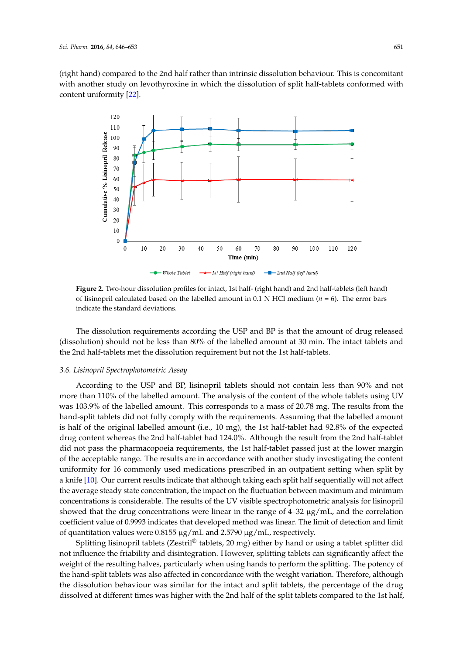(right hand) compared to the 2nd half rather than intrinsic dissolution behaviour. This is concomitant with another study on levothyroxine in which the dissolution of split half-tablets conformed with content uniformity [22].



**Figure 2.** Two-hour dissolution profiles for intact, 1st half- (right hand) and 2nd half-tablets (left hand) of lisinopril calculated based on the labelled amount in 0.1 N HCl medium ( $n = 6$ ). The error bars indicate the standard deviations.

The dissolution requirements according the USP and BP is that the amount of drug released (dissolution) should not be less than 80% of the labelled amount at 30 min. The intact tablets and the 2nd half-tablets met the dissolution requirement but not the 1st half-tablets.

#### *3.6. Lisinopril Spectrophotometric Assay*

–32 μg/m showed that the drug concentrations were linear in the range of 4–32 µg/mL, and the correlation of quantitation values were 0.8155 μg/mL and 2.5790 μg/mL, respectively. According to the USP and BP, lisinopril tablets should not contain less than 90% and not more than 110% of the labelled amount. The analysis of the content of the whole tablets using UV was 103.9% of the labelled amount. This corresponds to a mass of 20.78 mg. The results from the hand-split tablets did not fully comply with the requirements. Assuming that the labelled amount is half of the original labelled amount (i.e., 10 mg), the 1st half-tablet had 92.8% of the expected drug content whereas the 2nd half-tablet had 124.0%. Although the result from the 2nd half-tablet did not pass the pharmacopoeia requirements, the 1st half-tablet passed just at the lower margin of the acceptable range. The results are in accordance with another study investigating the content uniformity for 16 commonly used medications prescribed in an outpatient setting when split by a knife [10]. Our current results indicate that although taking each split half sequentially will not affect the average steady state concentration, the impact on the fluctuation between maximum and minimum concentrations is considerable. The results of the UV visible spectrophotometric analysis for lisinopril coefficient value of 0.9993 indicates that developed method was linear. The limit of detection and limit

Splitting lisinopril tablets (Zestril<sup>®</sup> tablets, 20 mg) either by hand or using a tablet splitter did not influence the friability and disintegration. However, splitting tablets can significantly affect the weight of the resulting halves, particularly when using hands to perform the splitting. The potency of the hand-split tablets was also affected in concordance with the weight variation. Therefore, although the dissolution behaviour was similar for the intact and split tablets, the percentage of the drug dissolved at different times was higher with the 2nd half of the split tablets compared to the 1st half,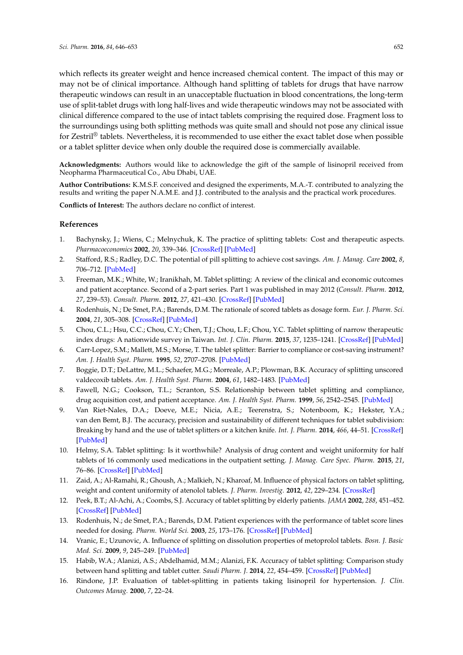which reflects its greater weight and hence increased chemical content. The impact of this may or may not be of clinical importance. Although hand splitting of tablets for drugs that have narrow therapeutic windows can result in an unacceptable fluctuation in blood concentrations, the long-term use of split-tablet drugs with long half-lives and wide therapeutic windows may not be associated with clinical difference compared to the use of intact tablets comprising the required dose. Fragment loss to the surroundings using both splitting methods was quite small and should not pose any clinical issue for Zestril® tablets. Nevertheless, it is recommended to use either the exact tablet dose when possible or a tablet splitter device when only double the required dose is commercially available.

**Acknowledgments:** Authors would like to acknowledge the gift of the sample of lisinopril received from Neopharma Pharmaceutical Co., Abu Dhabi, UAE.

**Author Contributions:** K.M.S.F. conceived and designed the experiments, M.A.-T. contributed to analyzing the results and writing the paper N.A.M.E. and J.J. contributed to the analysis and the practical work procedures.

**Conflicts of Interest:** The authors declare no conflict of interest.

#### **References**

- 1. Bachynsky, J.; Wiens, C.; Melnychuk, K. The practice of splitting tablets: Cost and therapeutic aspects. *Pharmacoeconomics* **2002**, *20*, 339–346. [CrossRef] [PubMed]
- 2. Stafford, R.S.; Radley, D.C. The potential of pill splitting to achieve cost savings. *Am. J. Manag. Care* **2002**, *8*, 706–712. [PubMed]
- 3. Freeman, M.K.; White, W.; Iranikhah, M. Tablet splitting: A review of the clinical and economic outcomes and patient acceptance. Second of a 2-part series. Part 1 was published in may 2012 (*Consult. Pharm.* **2012**, *27*, 239–53). *Consult. Pharm.* **2012**, *27*, 421–430. [CrossRef] [PubMed]
- 4. Rodenhuis, N.; De Smet, P.A.; Barends, D.M. The rationale of scored tablets as dosage form. *Eur. J. Pharm. Sci.* **2004**, *21*, 305–308. [CrossRef] [PubMed]
- 5. Chou, C.L.; Hsu, C.C.; Chou, C.Y.; Chen, T.J.; Chou, L.F.; Chou, Y.C. Tablet splitting of narrow therapeutic index drugs: A nationwide survey in Taiwan. *Int. J. Clin. Pharm.* **2015**, *37*, 1235–1241. [CrossRef] [PubMed]
- 6. Carr-Lopez, S.M.; Mallett, M.S.; Morse, T. The tablet splitter: Barrier to compliance or cost-saving instrument? *Am. J. Health Syst. Pharm.* **1995**, *52*, 2707–2708. [PubMed]
- 7. Boggie, D.T.; DeLattre, M.L.; Schaefer, M.G.; Morreale, A.P.; Plowman, B.K. Accuracy of splitting unscored valdecoxib tablets. *Am. J. Health Syst. Pharm.* **2004**, *61*, 1482–1483. [PubMed]
- 8. Fawell, N.G.; Cookson, T.L.; Scranton, S.S. Relationship between tablet splitting and compliance, drug acquisition cost, and patient acceptance. *Am. J. Health Syst. Pharm.* **1999**, *56*, 2542–2545. [PubMed]
- 9. Van Riet-Nales, D.A.; Doeve, M.E.; Nicia, A.E.; Teerenstra, S.; Notenboom, K.; Hekster, Y.A.; van den Bemt, B.J. The accuracy, precision and sustainability of different techniques for tablet subdivision: Breaking by hand and the use of tablet splitters or a kitchen knife. *Int. J. Pharm.* **2014**, *466*, 44–51. [CrossRef] [PubMed]
- 10. Helmy, S.A. Tablet splitting: Is it worthwhile? Analysis of drug content and weight uniformity for half tablets of 16 commonly used medications in the outpatient setting. *J. Manag. Care Spec. Pharm.* **2015**, *21*, 76–86. [CrossRef] [PubMed]
- 11. Zaid, A.; Al-Ramahi, R.; Ghoush, A.; Malkieh, N.; Kharoaf, M. Influence of physical factors on tablet splitting, weight and content uniformity of atenolol tablets. *J. Pharm. Investig.* **2012**, *42*, 229–234. [CrossRef]
- 12. Peek, B.T.; Al-Achi, A.; Coombs, S.J. Accuracy of tablet splitting by elderly patients. *JAMA* **2002**, *288*, 451–452. [CrossRef] [PubMed]
- 13. Rodenhuis, N.; de Smet, P.A.; Barends, D.M. Patient experiences with the performance of tablet score lines needed for dosing. *Pharm. World Sci.* **2003**, *25*, 173–176. [CrossRef] [PubMed]
- 14. Vranic, E.; Uzunovic, A. Influence of splitting on dissolution properties of metoprolol tablets. *Bosn. J. Basic Med. Sci.* **2009**, *9*, 245–249. [PubMed]
- 15. Habib, W.A.; Alanizi, A.S.; Abdelhamid, M.M.; Alanizi, F.K. Accuracy of tablet splitting: Comparison study between hand splitting and tablet cutter. *Saudi Pharm. J.* **2014**, *22*, 454–459. [CrossRef] [PubMed]
- 16. Rindone, J.P. Evaluation of tablet-splitting in patients taking lisinopril for hypertension. *J. Clin. Outcomes Manag.* **2000**, *7*, 22–24.